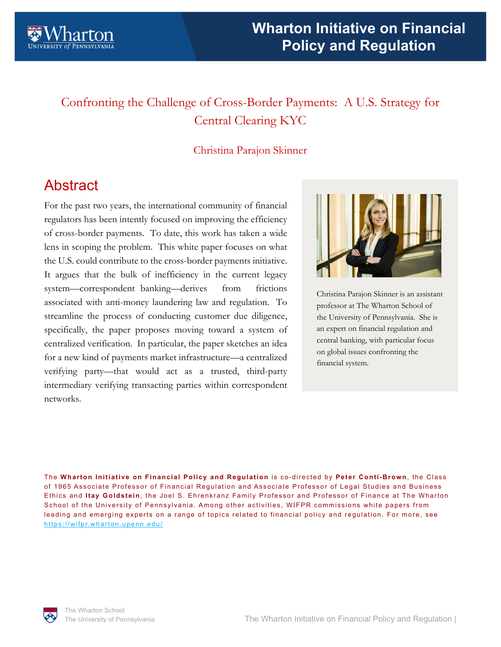

# Confronting the Challenge of Cross-Border Payments: A U.S. Strategy for Central Clearing KYC

## Christina Parajon Skinner

# **Abstract**

For the past two years, the international community of financial regulators has been intently focused on improving the efficiency of cross-border payments. To date, this work has taken a wide lens in scoping the problem. This white paper focuses on what the U.S. could contribute to the cross-border payments initiative. It argues that the bulk of inefficiency in the current legacy system—correspondent banking—derives from frictions associated with anti-money laundering law and regulation. To streamline the process of conducting customer due diligence, specifically, the paper proposes moving toward a system of centralized verification. In particular, the paper sketches an idea for a new kind of payments market infrastructure—a centralized verifying party—that would act as a trusted, third-party intermediary verifying transacting parties within correspondent networks.



Christina Parajon Skinner is an assistant professor at The Wharton School of the University of Pennsylvania. She is an expert on financial regulation and central banking, with particular focus on global issues confronting the financial system.

The **Wharton Initiative on Financial Policy and Regulation** is co-directed by **Peter Conti-Brown**, the Class of 1965 Associate Professor of Financial Regulation and Associate Professor of Legal Studies and Business Ethics and **Itay Goldstein**, the Joel S. Ehrenkranz Family Professor and Professor of Finance at The Wharton School of the University of Pennsylvania. Among other activities, WIFPR commissions white papers from leading and emerging experts on a range of topics related to financial policy and regulation. For more, see https://wifpr.wharton.upenn.edu/

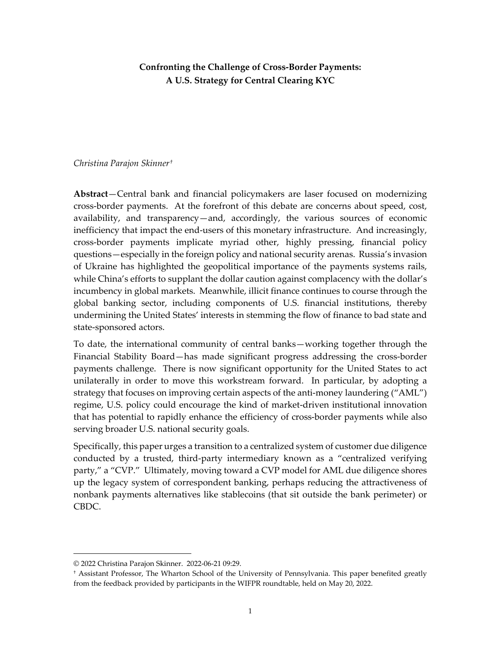## **Confronting the Challenge of Cross-Border Payments: A U.S. Strategy for Central Clearing KYC**

## *Christina Parajon Skinner[†](#page-1-0)*

**Abstract**—Central bank and financial policymakers are laser focused on modernizing cross-border payments. At the forefront of this debate are concerns about speed, cost, availability, and transparency—and, accordingly, the various sources of economic inefficiency that impact the end-users of this monetary infrastructure. And increasingly, cross-border payments implicate myriad other, highly pressing, financial policy questions—especially in the foreign policy and national security arenas. Russia's invasion of Ukraine has highlighted the geopolitical importance of the payments systems rails, while China's efforts to supplant the dollar caution against complacency with the dollar's incumbency in global markets. Meanwhile, illicit finance continues to course through the global banking sector, including components of U.S. financial institutions, thereby undermining the United States' interests in stemming the flow of finance to bad state and state-sponsored actors.

To date, the international community of central banks—working together through the Financial Stability Board—has made significant progress addressing the cross-border payments challenge. There is now significant opportunity for the United States to act unilaterally in order to move this workstream forward. In particular, by adopting a strategy that focuses on improving certain aspects of the anti-money laundering ("AML") regime, U.S. policy could encourage the kind of market-driven institutional innovation that has potential to rapidly enhance the efficiency of cross-border payments while also serving broader U.S. national security goals.

Specifically, this paper urges a transition to a centralized system of customer due diligence conducted by a trusted, third-party intermediary known as a "centralized verifying party," a "CVP." Ultimately, moving toward a CVP model for AML due diligence shores up the legacy system of correspondent banking, perhaps reducing the attractiveness of nonbank payments alternatives like stablecoins (that sit outside the bank perimeter) or CBDC.

<span id="page-1-0"></span><sup>© 2022</sup> Christina Parajon Skinner. 2022-06-21 09:29.

<sup>†</sup> Assistant Professor, The Wharton School of the University of Pennsylvania. This paper benefited greatly from the feedback provided by participants in the WIFPR roundtable, held on May 20, 2022.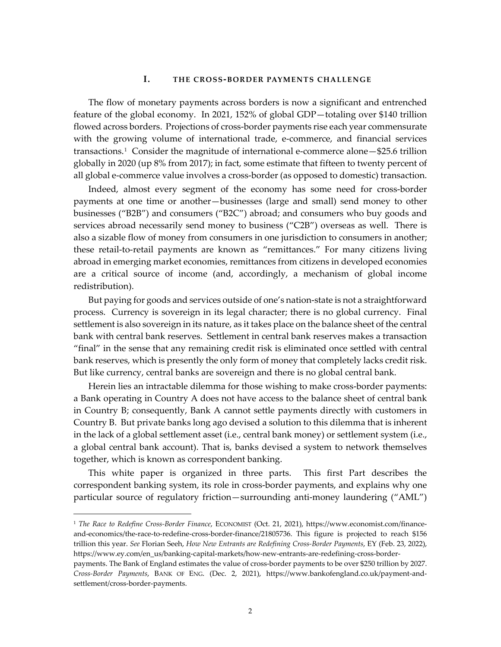## **I. THE CROSS-BORDER PAYMENTS CHALLENGE**

The flow of monetary payments across borders is now a significant and entrenched feature of the global economy. In 2021, 152% of global GDP—totaling over \$140 trillion flowed across borders. Projections of cross-border payments rise each year commensurate with the growing volume of international trade, e-commerce, and financial services transactions.[1](#page-2-0) Consider the magnitude of international e-commerce alone—\$25.6 trillion globally in 2020 (up 8% from 2017); in fact, some estimate that fifteen to twenty percent of all global e-commerce value involves a cross-border (as opposed to domestic) transaction.

Indeed, almost every segment of the economy has some need for cross-border payments at one time or another—businesses (large and small) send money to other businesses ("B2B") and consumers ("B2C") abroad; and consumers who buy goods and services abroad necessarily send money to business ("C2B") overseas as well. There is also a sizable flow of money from consumers in one jurisdiction to consumers in another; these retail-to-retail payments are known as "remittances." For many citizens living abroad in emerging market economies, remittances from citizens in developed economies are a critical source of income (and, accordingly, a mechanism of global income redistribution).

But paying for goods and services outside of one's nation-state is not a straightforward process. Currency is sovereign in its legal character; there is no global currency. Final settlement is also sovereign in its nature, as it takes place on the balance sheet of the central bank with central bank reserves. Settlement in central bank reserves makes a transaction "final" in the sense that any remaining credit risk is eliminated once settled with central bank reserves, which is presently the only form of money that completely lacks credit risk. But like currency, central banks are sovereign and there is no global central bank.

Herein lies an intractable dilemma for those wishing to make cross-border payments: a Bank operating in Country A does not have access to the balance sheet of central bank in Country B; consequently, Bank A cannot settle payments directly with customers in Country B. But private banks long ago devised a solution to this dilemma that is inherent in the lack of a global settlement asset (i.e., central bank money) or settlement system (i.e., a global central bank account). That is, banks devised a system to network themselves together, which is known as correspondent banking.

This white paper is organized in three parts. This first Part describes the correspondent banking system, its role in cross-border payments, and explains why one particular source of regulatory friction—surrounding anti-money laundering ("AML")

<span id="page-2-0"></span><sup>1</sup> *The Race to Redefine Cross-Border Finance*, ECONOMIST (Oct. 21, 2021), https://www.economist.com/financeand-economics/the-race-to-redefine-cross-border-finance/21805736. This figure is projected to reach \$156 trillion this year. *See* Florian Seeh, *How New Entrants are Redefining Cross-Border Payments*, EY (Feb. 23, 2022), https://www.ey.com/en\_us/banking-capital-markets/how-new-entrants-are-redefining-cross-border-

payments. The Bank of England estimates the value of cross-border payments to be over \$250 trillion by 2027. *Cross-Border Payments*, BANK OF ENG. (Dec. 2, 2021), https://www.bankofengland.co.uk/payment-andsettlement/cross-border-payments.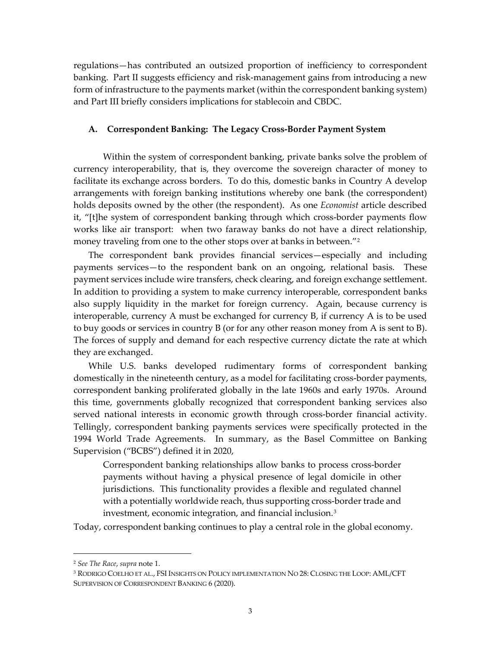regulations—has contributed an outsized proportion of inefficiency to correspondent banking. Part II suggests efficiency and risk-management gains from introducing a new form of infrastructure to the payments market (within the correspondent banking system) and Part III briefly considers implications for stablecoin and CBDC.

## **A. Correspondent Banking: The Legacy Cross-Border Payment System**

Within the system of correspondent banking, private banks solve the problem of currency interoperability, that is, they overcome the sovereign character of money to facilitate its exchange across borders. To do this, domestic banks in Country A develop arrangements with foreign banking institutions whereby one bank (the correspondent) holds deposits owned by the other (the respondent). As one *Economist* article described it, "[t]he system of correspondent banking through which cross-border payments flow works like air transport: when two faraway banks do not have a direct relationship, money traveling from one to the other stops over at banks in between."<sup>[2](#page-3-0)</sup>

The correspondent bank provides financial services—especially and including payments services—to the respondent bank on an ongoing, relational basis. These payment services include wire transfers, check clearing, and foreign exchange settlement. In addition to providing a system to make currency interoperable, correspondent banks also supply liquidity in the market for foreign currency. Again, because currency is interoperable, currency A must be exchanged for currency B, if currency A is to be used to buy goods or services in country B (or for any other reason money from A is sent to B). The forces of supply and demand for each respective currency dictate the rate at which they are exchanged.

While U.S. banks developed rudimentary forms of correspondent banking domestically in the nineteenth century, as a model for facilitating cross-border payments, correspondent banking proliferated globally in the late 1960s and early 1970s. Around this time, governments globally recognized that correspondent banking services also served national interests in economic growth through cross-border financial activity. Tellingly, correspondent banking payments services were specifically protected in the 1994 World Trade Agreements. In summary, as the Basel Committee on Banking Supervision ("BCBS") defined it in 2020,

Correspondent banking relationships allow banks to process cross-border payments without having a physical presence of legal domicile in other jurisdictions. This functionality provides a flexible and regulated channel with a potentially worldwide reach, thus supporting cross-border trade and investment, economic integration, and financial inclusion.[3](#page-3-1)

Today, correspondent banking continues to play a central role in the global economy.

<span id="page-3-0"></span><sup>2</sup> *See The Race*, *supra* note 1.

<span id="page-3-1"></span><sup>3</sup> RODRIGO COELHO ET AL., FSI INSIGHTS ON POLICY IMPLEMENTATION NO 28: CLOSING THE LOOP: AML/CFT SUPERVISION OF CORRESPONDENT BANKING 6 (2020).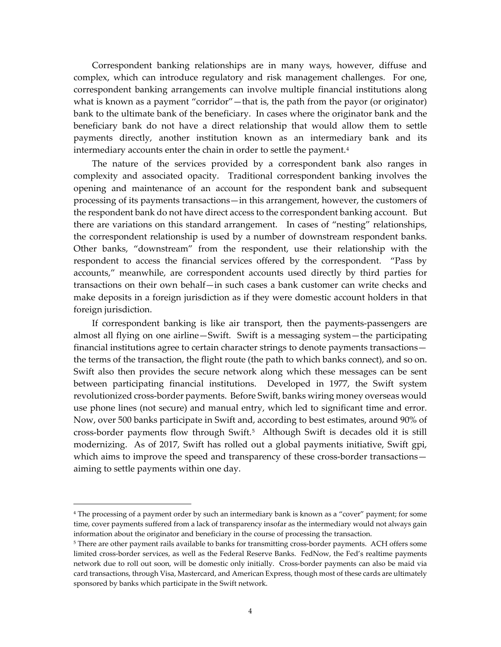Correspondent banking relationships are in many ways, however, diffuse and complex, which can introduce regulatory and risk management challenges. For one, correspondent banking arrangements can involve multiple financial institutions along what is known as a payment "corridor"—that is, the path from the payor (or originator) bank to the ultimate bank of the beneficiary. In cases where the originator bank and the beneficiary bank do not have a direct relationship that would allow them to settle payments directly, another institution known as an intermediary bank and its intermediary accounts enter the chain in order to settle the payment.<sup>4</sup>

The nature of the services provided by a correspondent bank also ranges in complexity and associated opacity. Traditional correspondent banking involves the opening and maintenance of an account for the respondent bank and subsequent processing of its payments transactions—in this arrangement, however, the customers of the respondent bank do not have direct access to the correspondent banking account. But there are variations on this standard arrangement. In cases of "nesting" relationships, the correspondent relationship is used by a number of downstream respondent banks. Other banks, "downstream" from the respondent, use their relationship with the respondent to access the financial services offered by the correspondent. "Pass by accounts," meanwhile, are correspondent accounts used directly by third parties for transactions on their own behalf—in such cases a bank customer can write checks and make deposits in a foreign jurisdiction as if they were domestic account holders in that foreign jurisdiction.

If correspondent banking is like air transport, then the payments-passengers are almost all flying on one airline—Swift. Swift is a messaging system—the participating financial institutions agree to certain character strings to denote payments transactions the terms of the transaction, the flight route (the path to which banks connect), and so on. Swift also then provides the secure network along which these messages can be sent between participating financial institutions. Developed in 1977, the Swift system revolutionized cross-border payments. Before Swift, banks wiring money overseas would use phone lines (not secure) and manual entry, which led to significant time and error. Now, over 500 banks participate in Swift and, according to best estimates, around 90% of cross-border payments flow through Swift.[5](#page-4-1) Although Swift is decades old it is still modernizing. As of 2017, Swift has rolled out a global payments initiative, Swift gpi, which aims to improve the speed and transparency of these cross-border transactionsaiming to settle payments within one day.

<span id="page-4-0"></span><sup>4</sup> The processing of a payment order by such an intermediary bank is known as a "cover" payment; for some time, cover payments suffered from a lack of transparency insofar as the intermediary would not always gain information about the originator and beneficiary in the course of processing the transaction.

<span id="page-4-1"></span><sup>5</sup> There are other payment rails available to banks for transmitting cross-border payments. ACH offers some limited cross-border services, as well as the Federal Reserve Banks. FedNow, the Fed's realtime payments network due to roll out soon, will be domestic only initially. Cross-border payments can also be maid via card transactions, through Visa, Mastercard, and American Express, though most of these cards are ultimately sponsored by banks which participate in the Swift network.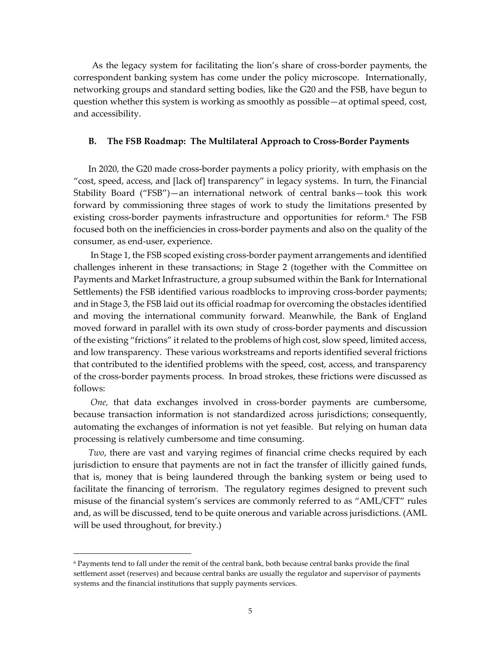As the legacy system for facilitating the lion's share of cross-border payments, the correspondent banking system has come under the policy microscope. Internationally, networking groups and standard setting bodies, like the G20 and the FSB, have begun to question whether this system is working as smoothly as possible—at optimal speed, cost, and accessibility.

## **B. The FSB Roadmap: The Multilateral Approach to Cross-Border Payments**

In 2020, the G20 made cross-border payments a policy priority, with emphasis on the "cost, speed, access, and [lack of] transparency" in legacy systems. In turn, the Financial Stability Board ("FSB")—an international network of central banks—took this work forward by commissioning three stages of work to study the limitations presented by existing cross-border payments infrastructure and opportunities for reform.<sup>[6](#page-5-0)</sup> The FSB focused both on the inefficiencies in cross-border payments and also on the quality of the consumer, as end-user, experience.

In Stage 1, the FSB scoped existing cross-border payment arrangements and identified challenges inherent in these transactions; in Stage 2 (together with the Committee on Payments and Market Infrastructure, a group subsumed within the Bank for International Settlements) the FSB identified various roadblocks to improving cross-border payments; and in Stage 3, the FSB laid out its official roadmap for overcoming the obstacles identified and moving the international community forward. Meanwhile, the Bank of England moved forward in parallel with its own study of cross-border payments and discussion of the existing "frictions" it related to the problems of high cost, slow speed, limited access, and low transparency. These various workstreams and reports identified several frictions that contributed to the identified problems with the speed, cost, access, and transparency of the cross-border payments process. In broad strokes, these frictions were discussed as follows:

*One,* that data exchanges involved in cross-border payments are cumbersome, because transaction information is not standardized across jurisdictions; consequently, automating the exchanges of information is not yet feasible. But relying on human data processing is relatively cumbersome and time consuming.

*Two*, there are vast and varying regimes of financial crime checks required by each jurisdiction to ensure that payments are not in fact the transfer of illicitly gained funds, that is, money that is being laundered through the banking system or being used to facilitate the financing of terrorism. The regulatory regimes designed to prevent such misuse of the financial system's services are commonly referred to as "AML/CFT" rules and, as will be discussed, tend to be quite onerous and variable across jurisdictions. (AML will be used throughout, for brevity.)

<span id="page-5-0"></span><sup>6</sup> Payments tend to fall under the remit of the central bank, both because central banks provide the final settlement asset (reserves) and because central banks are usually the regulator and supervisor of payments systems and the financial institutions that supply payments services.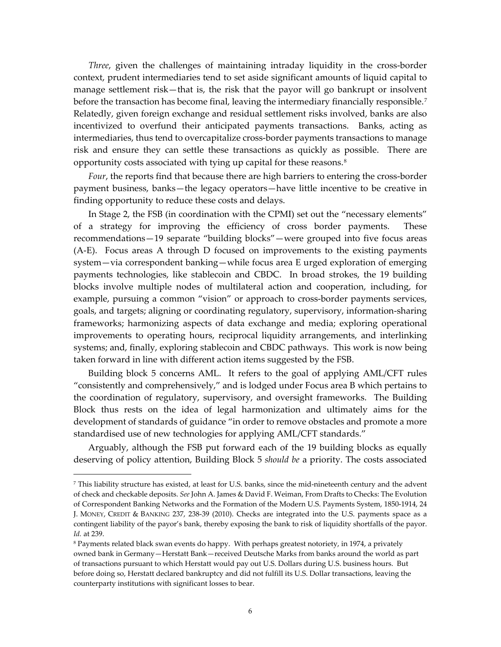*Three*, given the challenges of maintaining intraday liquidity in the cross-border context, prudent intermediaries tend to set aside significant amounts of liquid capital to manage settlement risk—that is, the risk that the payor will go bankrupt or insolvent before the transaction has become final, leaving the intermediary financially responsible.<sup>[7](#page-6-0)</sup> Relatedly, given foreign exchange and residual settlement risks involved, banks are also incentivized to overfund their anticipated payments transactions. Banks, acting as intermediaries, thus tend to overcapitalize cross-border payments transactions to manage risk and ensure they can settle these transactions as quickly as possible. There are opportunity costs associated with tying up capital for these reasons.[8](#page-6-1)

*Four*, the reports find that because there are high barriers to entering the cross-border payment business, banks—the legacy operators—have little incentive to be creative in finding opportunity to reduce these costs and delays.

In Stage 2, the FSB (in coordination with the CPMI) set out the "necessary elements" of a strategy for improving the efficiency of cross border payments. These recommendations—19 separate "building blocks"—were grouped into five focus areas (A-E). Focus areas A through D focused on improvements to the existing payments system—via correspondent banking—while focus area E urged exploration of emerging payments technologies, like stablecoin and CBDC. In broad strokes, the 19 building blocks involve multiple nodes of multilateral action and cooperation, including, for example, pursuing a common "vision" or approach to cross-border payments services, goals, and targets; aligning or coordinating regulatory, supervisory, information-sharing frameworks; harmonizing aspects of data exchange and media; exploring operational improvements to operating hours, reciprocal liquidity arrangements, and interlinking systems; and, finally, exploring stablecoin and CBDC pathways. This work is now being taken forward in line with different action items suggested by the FSB.

Building block 5 concerns AML. It refers to the goal of applying AML/CFT rules "consistently and comprehensively," and is lodged under Focus area B which pertains to the coordination of regulatory, supervisory, and oversight frameworks. The Building Block thus rests on the idea of legal harmonization and ultimately aims for the development of standards of guidance "in order to remove obstacles and promote a more standardised use of new technologies for applying AML/CFT standards."

Arguably, although the FSB put forward each of the 19 building blocks as equally deserving of policy attention, Building Block 5 *should be* a priority. The costs associated

<span id="page-6-0"></span><sup>7</sup> This liability structure has existed, at least for U.S. banks, since the mid-nineteenth century and the advent of check and checkable deposits. *See* John A. James & David F. Weiman, From Drafts to Checks: The Evolution of Correspondent Banking Networks and the Formation of the Modern U.S. Payments System, 1850-1914, 24 J. MONEY, CREDIT & BANKING 237, 238-39 (2010). Checks are integrated into the U.S. payments space as a contingent liability of the payor's bank, thereby exposing the bank to risk of liquidity shortfalls of the payor. *Id.* at 239.

<span id="page-6-1"></span><sup>&</sup>lt;sup>8</sup> Payments related black swan events do happy. With perhaps greatest notoriety, in 1974, a privately owned bank in Germany—Herstatt Bank—received Deutsche Marks from banks around the world as part of transactions pursuant to which Herstatt would pay out U.S. Dollars during U.S. business hours. But before doing so, Herstatt declared bankruptcy and did not fulfill its U.S. Dollar transactions, leaving the counterparty institutions with significant losses to bear.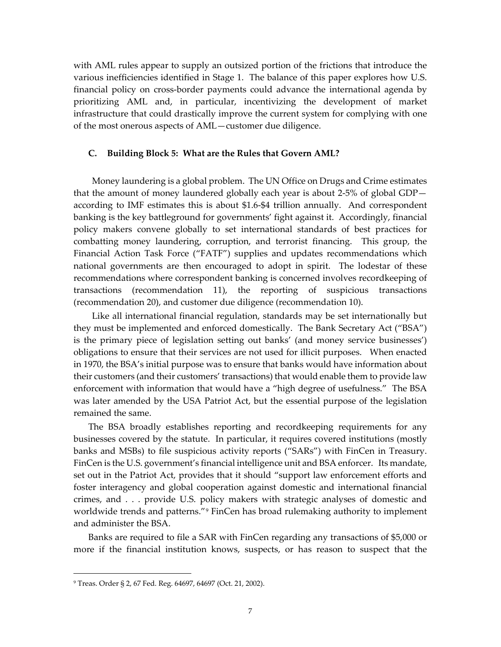with AML rules appear to supply an outsized portion of the frictions that introduce the various inefficiencies identified in Stage 1. The balance of this paper explores how U.S. financial policy on cross-border payments could advance the international agenda by prioritizing AML and, in particular, incentivizing the development of market infrastructure that could drastically improve the current system for complying with one of the most onerous aspects of AML—customer due diligence.

## **C. Building Block 5: What are the Rules that Govern AML?**

Money laundering is a global problem. The UN Office on Drugs and Crime estimates that the amount of money laundered globally each year is about 2-5% of global GDP according to IMF estimates this is about \$1.6-\$4 trillion annually. And correspondent banking is the key battleground for governments' fight against it. Accordingly, financial policy makers convene globally to set international standards of best practices for combatting money laundering, corruption, and terrorist financing. This group, the Financial Action Task Force ("FATF") supplies and updates recommendations which national governments are then encouraged to adopt in spirit. The lodestar of these recommendations where correspondent banking is concerned involves recordkeeping of transactions (recommendation 11), the reporting of suspicious transactions (recommendation 20), and customer due diligence (recommendation 10).

Like all international financial regulation, standards may be set internationally but they must be implemented and enforced domestically. The Bank Secretary Act ("BSA") is the primary piece of legislation setting out banks' (and money service businesses') obligations to ensure that their services are not used for illicit purposes. When enacted in 1970, the BSA's initial purpose was to ensure that banks would have information about their customers (and their customers' transactions) that would enable them to provide law enforcement with information that would have a "high degree of usefulness." The BSA was later amended by the USA Patriot Act, but the essential purpose of the legislation remained the same.

The BSA broadly establishes reporting and recordkeeping requirements for any businesses covered by the statute. In particular, it requires covered institutions (mostly banks and MSBs) to file suspicious activity reports ("SARs") with FinCen in Treasury. FinCen is the U.S. government's financial intelligence unit and BSA enforcer. Its mandate, set out in the Patriot Act, provides that it should "support law enforcement efforts and foster interagency and global cooperation against domestic and international financial crimes, and . . . provide U.S. policy makers with strategic analyses of domestic and worldwide trends and patterns."<sup>[9](#page-7-0)</sup> FinCen has broad rulemaking authority to implement and administer the BSA.

Banks are required to file a SAR with FinCen regarding any transactions of \$5,000 or more if the financial institution knows, suspects, or has reason to suspect that the

<span id="page-7-0"></span><sup>9</sup> Treas. Order § 2, 67 Fed. Reg. 64697, 64697 (Oct. 21, 2002).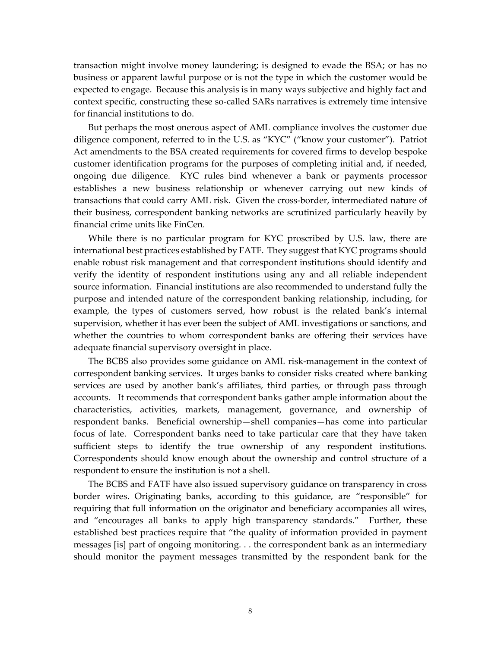transaction might involve money laundering; is designed to evade the BSA; or has no business or apparent lawful purpose or is not the type in which the customer would be expected to engage. Because this analysis is in many ways subjective and highly fact and context specific, constructing these so-called SARs narratives is extremely time intensive for financial institutions to do.

But perhaps the most onerous aspect of AML compliance involves the customer due diligence component, referred to in the U.S. as "KYC" ("know your customer"). Patriot Act amendments to the BSA created requirements for covered firms to develop bespoke customer identification programs for the purposes of completing initial and, if needed, ongoing due diligence. KYC rules bind whenever a bank or payments processor establishes a new business relationship or whenever carrying out new kinds of transactions that could carry AML risk. Given the cross-border, intermediated nature of their business, correspondent banking networks are scrutinized particularly heavily by financial crime units like FinCen.

While there is no particular program for KYC proscribed by U.S. law, there are international best practices established by FATF. They suggest that KYC programs should enable robust risk management and that correspondent institutions should identify and verify the identity of respondent institutions using any and all reliable independent source information. Financial institutions are also recommended to understand fully the purpose and intended nature of the correspondent banking relationship, including, for example, the types of customers served, how robust is the related bank's internal supervision, whether it has ever been the subject of AML investigations or sanctions, and whether the countries to whom correspondent banks are offering their services have adequate financial supervisory oversight in place.

The BCBS also provides some guidance on AML risk-management in the context of correspondent banking services. It urges banks to consider risks created where banking services are used by another bank's affiliates, third parties, or through pass through accounts. It recommends that correspondent banks gather ample information about the characteristics, activities, markets, management, governance, and ownership of respondent banks. Beneficial ownership—shell companies—has come into particular focus of late. Correspondent banks need to take particular care that they have taken sufficient steps to identify the true ownership of any respondent institutions. Correspondents should know enough about the ownership and control structure of a respondent to ensure the institution is not a shell.

The BCBS and FATF have also issued supervisory guidance on transparency in cross border wires. Originating banks, according to this guidance, are "responsible" for requiring that full information on the originator and beneficiary accompanies all wires, and "encourages all banks to apply high transparency standards." Further, these established best practices require that "the quality of information provided in payment messages [is] part of ongoing monitoring. . . the correspondent bank as an intermediary should monitor the payment messages transmitted by the respondent bank for the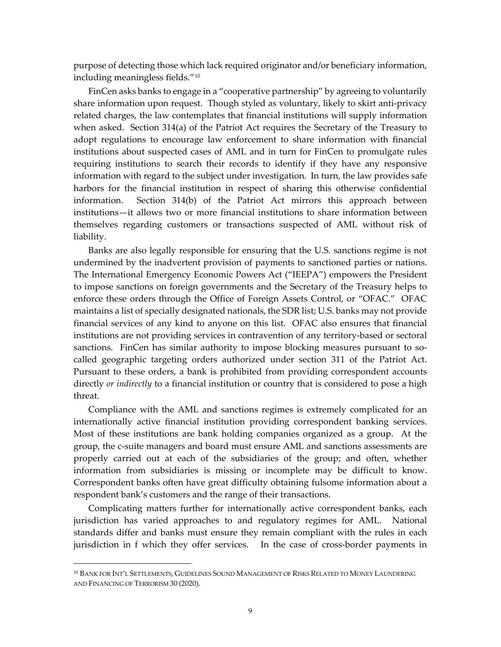purpose of detecting those which lack required originator and/or beneficiary information, including meaningless fields."[10](#page-9-0)

FinCen asks banks to engage in a "cooperative partnership" by agreeing to voluntarily share information upon request. Though styled as voluntary, likely to skirt anti-privacy related charges, the law contemplates that financial institutions will supply information when asked. Section 314(a) of the Patriot Act requires the Secretary of the Treasury to adopt regulations to encourage law enforcement to share information with financial institutions about suspected cases of AML and in turn for FinCen to promulgate rules requiring institutions to search their records to identify if they have any responsive information with regard to the subject under investigation. In turn, the law provides safe harbors for the financial institution in respect of sharing this otherwise confidential information. Section 314(b) of the Patriot Act mirrors this approach between institutions—it allows two or more financial institutions to share information between themselves regarding customers or transactions suspected of AML without risk of liability.

Banks are also legally responsible for ensuring that the U.S. sanctions regime is not undermined by the inadvertent provision of payments to sanctioned parties or nations. The International Emergency Economic Powers Act ("IEEPA") empowers the President to impose sanctions on foreign governments and the Secretary of the Treasury helps to enforce these orders through the Office of Foreign Assets Control, or "OFAC." OFAC maintains a list of specially designated nationals, the SDR list; U.S. banks may not provide financial services of any kind to anyone on this list. OFAC also ensures that financial institutions are not providing services in contravention of any territory-based or sectoral sanctions. FinCen has similar authority to impose blocking measures pursuant to socalled geographic targeting orders authorized under section 311 of the Patriot Act. Pursuant to these orders, a bank is prohibited from providing correspondent accounts directly *or indirectly* to a financial institution or country that is considered to pose a high threat.

Compliance with the AML and sanctions regimes is extremely complicated for an internationally active financial institution providing correspondent banking services. Most of these institutions are bank holding companies organized as a group. At the group, the c-suite managers and board must ensure AML and sanctions assessments are properly carried out at each of the subsidiaries of the group; and often, whether information from subsidiaries is missing or incomplete may be difficult to know. Correspondent banks often have great difficulty obtaining fulsome information about a respondent bank's customers and the range of their transactions.

Complicating matters further for internationally active correspondent banks, each jurisdiction has varied approaches to and regulatory regimes for AML. National standards differ and banks must ensure they remain compliant with the rules in each jurisdiction in f which they offer services. In the case of cross-border payments in

<span id="page-9-0"></span><sup>10</sup> BANK FOR INT'L SETTLEMENTS, GUIDELINES SOUND MANAGEMENT OF RISKS RELATED TO MONEY LAUNDERING AND FINANCING OF TERRORISM 30 (2020).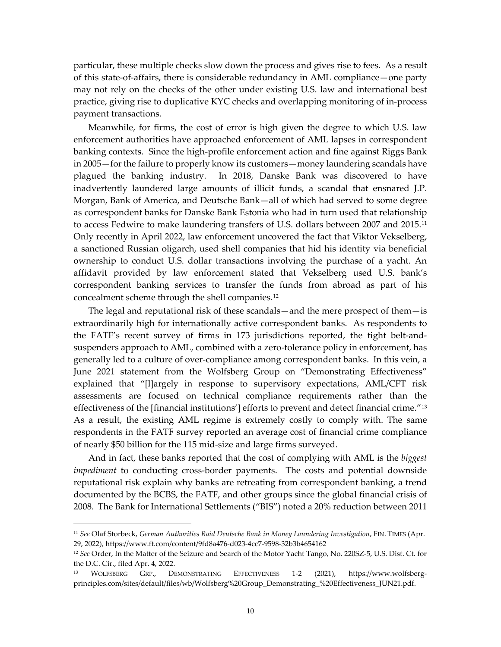particular, these multiple checks slow down the process and gives rise to fees. As a result of this state-of-affairs, there is considerable redundancy in AML compliance—one party may not rely on the checks of the other under existing U.S. law and international best practice, giving rise to duplicative KYC checks and overlapping monitoring of in-process payment transactions.

Meanwhile, for firms, the cost of error is high given the degree to which U.S. law enforcement authorities have approached enforcement of AML lapses in correspondent banking contexts. Since the high-profile enforcement action and fine against Riggs Bank in 2005—for the failure to properly know its customers—money laundering scandals have plagued the banking industry. In 2018, Danske Bank was discovered to have inadvertently laundered large amounts of illicit funds, a scandal that ensnared J.P. Morgan, Bank of America, and Deutsche Bank—all of which had served to some degree as correspondent banks for Danske Bank Estonia who had in turn used that relationship to access Fedwire to make laundering transfers of U.S. dollars between 2007 and 2015.<sup>[11](#page-10-0)</sup> Only recently in April 2022, law enforcement uncovered the fact that Viktor Vekselberg, a sanctioned Russian oligarch, used shell companies that hid his identity via beneficial ownership to conduct U.S. dollar transactions involving the purchase of a yacht. An affidavit provided by law enforcement stated that Vekselberg used U.S. bank's correspondent banking services to transfer the funds from abroad as part of his concealment scheme through the shell companies.[12](#page-10-1) 

The legal and reputational risk of these scandals—and the mere prospect of them—is extraordinarily high for internationally active correspondent banks. As respondents to the FATF's recent survey of firms in 173 jurisdictions reported, the tight belt-andsuspenders approach to AML, combined with a zero-tolerance policy in enforcement, has generally led to a culture of over-compliance among correspondent banks. In this vein, a June 2021 statement from the Wolfsberg Group on "Demonstrating Effectiveness" explained that "[l]argely in response to supervisory expectations, AML/CFT risk assessments are focused on technical compliance requirements rather than the effectiveness of the [financial institutions'] efforts to prevent and detect financial crime."[13](#page-10-2) As a result, the existing AML regime is extremely costly to comply with. The same respondents in the FATF survey reported an average cost of financial crime compliance of nearly \$50 billion for the 115 mid-size and large firms surveyed.

And in fact, these banks reported that the cost of complying with AML is the *biggest impediment* to conducting cross-border payments. The costs and potential downside reputational risk explain why banks are retreating from correspondent banking, a trend documented by the BCBS, the FATF, and other groups since the global financial crisis of 2008. The Bank for International Settlements ("BIS") noted a 20% reduction between 2011

<span id="page-10-0"></span><sup>11</sup> *See* Olaf Storbeck, *German Authorities Raid Deutsche Bank in Money Laundering Investigation*, FIN. TIMES (Apr. 29, 2022), https://www.ft.com/content/9fd8a476-d023-4cc7-9598-32b3b4654162

<span id="page-10-1"></span><sup>12</sup> *See* Order, In the Matter of the Seizure and Search of the Motor Yacht Tango, No. 220SZ-5, U.S. Dist. Ct. for the D.C. Cir., filed Apr. 4, 2022.

<span id="page-10-2"></span><sup>13</sup> WOLFSBERG GRP., DEMONSTRATING EFFECTIVENESS 1-2 (2021), https://www.wolfsbergprinciples.com/sites/default/files/wb/Wolfsberg%20Group\_Demonstrating\_%20Effectiveness\_JUN21.pdf.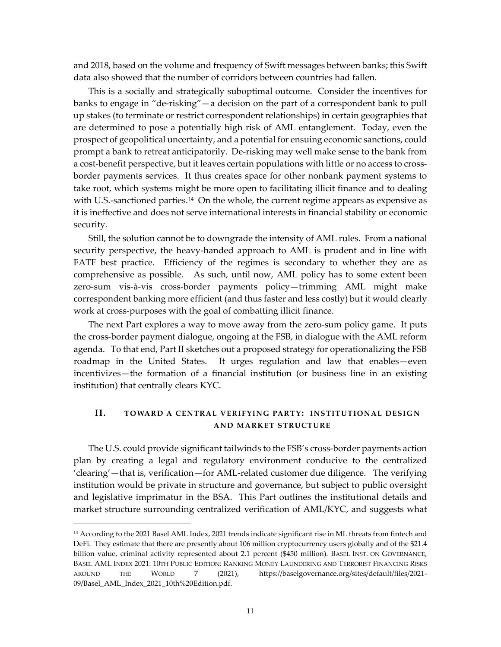and 2018, based on the volume and frequency of Swift messages between banks; this Swift data also showed that the number of corridors between countries had fallen.

This is a socially and strategically suboptimal outcome. Consider the incentives for banks to engage in "de-risking"—a decision on the part of a correspondent bank to pull up stakes (to terminate or restrict correspondent relationships) in certain geographies that are determined to pose a potentially high risk of AML entanglement. Today, even the prospect of geopolitical uncertainty, and a potential for ensuing economic sanctions, could prompt a bank to retreat anticipatorily. De-risking may well make sense to the bank from a cost-benefit perspective, but it leaves certain populations with little or no access to crossborder payments services. It thus creates space for other nonbank payment systems to take root, which systems might be more open to facilitating illicit finance and to dealing with U.S.-sanctioned parties.<sup>[14](#page-11-0)</sup> On the whole, the current regime appears as expensive as it is ineffective and does not serve international interests in financial stability or economic security.

Still, the solution cannot be to downgrade the intensity of AML rules. From a national security perspective, the heavy-handed approach to AML is prudent and in line with FATF best practice. Efficiency of the regimes is secondary to whether they are as comprehensive as possible. As such, until now, AML policy has to some extent been zero-sum vis-à-vis cross-border payments policy—trimming AML might make correspondent banking more efficient (and thus faster and less costly) but it would clearly work at cross-purposes with the goal of combatting illicit finance.

The next Part explores a way to move away from the zero-sum policy game. It puts the cross-border payment dialogue, ongoing at the FSB, in dialogue with the AML reform agenda. To that end, Part II sketches out a proposed strategy for operationalizing the FSB roadmap in the United States. It urges regulation and law that enables—even incentivizes—the formation of a financial institution (or business line in an existing institution) that centrally clears KYC.

## **II. TOWARD A CENTRAL VERIFYING PARTY: INSTITUTIONAL DESIGN AND MARKET STRUCTURE**

The U.S. could provide significant tailwinds to the FSB's cross-border payments action plan by creating a legal and regulatory environment conducive to the centralized 'clearing'—that is, verification—for AML-related customer due diligence. The verifying institution would be private in structure and governance, but subject to public oversight and legislative imprimatur in the BSA. This Part outlines the institutional details and market structure surrounding centralized verification of AML/KYC, and suggests what

<span id="page-11-0"></span><sup>14</sup> According to the 2021 Basel AML Index, 2021 trends indicate significant rise in ML threats from fintech and DeFi. They estimate that there are presently about 106 million cryptocurrency users globally and of the \$21.4 billion value, criminal activity represented about 2.1 percent (\$450 million). BASEL INST. ON GOVERNANCE, BASEL AML INDEX 2021: 10TH PUBLIC EDITION: RANKING MONEY LAUNDERING AND TERRORIST FINANCING RISKS AROUND THE WORLD 7 (2021), https://baselgovernance.org/sites/default/files/2021- 09/Basel\_AML\_Index\_2021\_10th%20Edition.pdf.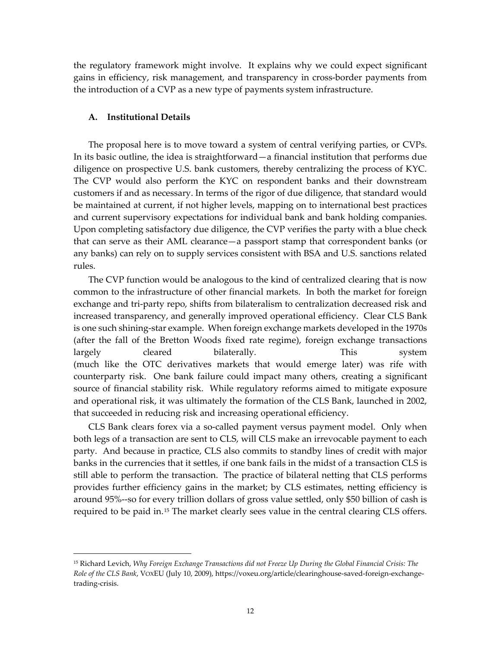the regulatory framework might involve. It explains why we could expect significant gains in efficiency, risk management, and transparency in cross-border payments from the introduction of a CVP as a new type of payments system infrastructure.

## **A. Institutional Details**

The proposal here is to move toward a system of central verifying parties, or CVPs. In its basic outline, the idea is straightforward—a financial institution that performs due diligence on prospective U.S. bank customers, thereby centralizing the process of KYC. The CVP would also perform the KYC on respondent banks and their downstream customers if and as necessary. In terms of the rigor of due diligence, that standard would be maintained at current, if not higher levels, mapping on to international best practices and current supervisory expectations for individual bank and bank holding companies. Upon completing satisfactory due diligence, the CVP verifies the party with a blue check that can serve as their AML clearance—a passport stamp that correspondent banks (or any banks) can rely on to supply services consistent with BSA and U.S. sanctions related rules.

The CVP function would be analogous to the kind of centralized clearing that is now common to the infrastructure of other financial markets. In both the market for foreign exchange and tri-party repo, shifts from bilateralism to centralization decreased risk and increased transparency, and generally improved operational efficiency. Clear CLS Bank is one such shining-star example. When foreign exchange markets developed in the 1970s (after the fall of the Bretton Woods fixed rate regime), foreign exchange transactions largely cleared bilaterally. This system (much like the OTC derivatives markets that would emerge later) was rife with counterparty risk. One bank failure could impact many others, creating a significant source of financial stability risk. While regulatory reforms aimed to mitigate exposure and operational risk, it was ultimately the formation of the CLS Bank, launched in 2002, that succeeded in reducing risk and increasing operational efficiency.

CLS Bank clears forex via a so-called payment versus payment model. Only when both legs of a transaction are sent to CLS, will CLS make an irrevocable payment to each party. And because in practice, CLS also commits to standby lines of credit with major banks in the currencies that it settles, if one bank fails in the midst of a transaction CLS is still able to perform the transaction. The practice of bilateral netting that CLS performs provides further efficiency gains in the market; by CLS estimates, netting efficiency is around 95%--so for every trillion dollars of gross value settled, only \$50 billion of cash is required to be paid in.<sup>[15](#page-12-0)</sup> The market clearly sees value in the central clearing CLS offers.

<span id="page-12-0"></span><sup>15</sup> Richard Levich, *Why Foreign Exchange Transactions did not Freeze Up During the Global Financial Crisis: The Role of the CLS Bank*, VOXEU (July 10, 2009), https://voxeu.org/article/clearinghouse-saved-foreign-exchangetrading-crisis.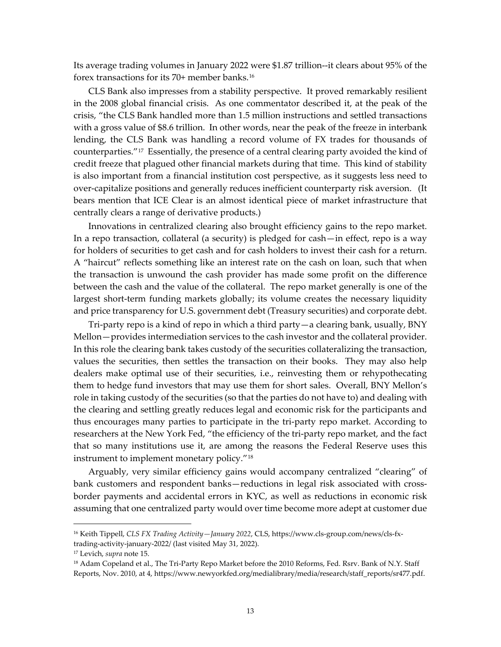Its average trading volumes in January 2022 were \$1.87 trillion--it clears about 95% of the forex transactions for its 70+ member banks.[16](#page-13-0)

CLS Bank also impresses from a stability perspective. It proved remarkably resilient in the 2008 global financial crisis. As one commentator described it, at the peak of the crisis, "the CLS Bank handled more than 1.5 million instructions and settled transactions with a gross value of \$8.6 trillion. In other words, near the peak of the freeze in interbank lending, the CLS Bank was handling a record volume of FX trades for thousands of counterparties."[17](#page-13-1) Essentially, the presence of a central clearing party avoided the kind of credit freeze that plagued other financial markets during that time. This kind of stability is also important from a financial institution cost perspective, as it suggests less need to over-capitalize positions and generally reduces inefficient counterparty risk aversion. (It bears mention that ICE Clear is an almost identical piece of market infrastructure that centrally clears a range of derivative products.)

Innovations in centralized clearing also brought efficiency gains to the repo market. In a repo transaction, collateral (a security) is pledged for cash—in effect, repo is a way for holders of securities to get cash and for cash holders to invest their cash for a return. A "haircut" reflects something like an interest rate on the cash on loan, such that when the transaction is unwound the cash provider has made some profit on the difference between the cash and the value of the collateral. The repo market generally is one of the largest short-term funding markets globally; its volume creates the necessary liquidity and price transparency for U.S. government debt (Treasury securities) and corporate debt.

Tri-party repo is a kind of repo in which a third party—a clearing bank, usually, BNY Mellon—provides intermediation services to the cash investor and the collateral provider. In this role the clearing bank takes custody of the securities collateralizing the transaction, values the securities, then settles the transaction on their books. They may also help dealers make optimal use of their securities, i.e., reinvesting them or rehypothecating them to hedge fund investors that may use them for short sales. Overall, BNY Mellon's role in taking custody of the securities (so that the parties do not have to) and dealing with the clearing and settling greatly reduces legal and economic risk for the participants and thus encourages many parties to participate in the tri-party repo market. According to researchers at the New York Fed, "the efficiency of the tri-party repo market, and the fact that so many institutions use it, are among the reasons the Federal Reserve uses this instrument to implement monetary policy."[18](#page-13-2)

Arguably, very similar efficiency gains would accompany centralized "clearing" of bank customers and respondent banks—reductions in legal risk associated with crossborder payments and accidental errors in KYC, as well as reductions in economic risk assuming that one centralized party would over time become more adept at customer due

<span id="page-13-0"></span><sup>16</sup> Keith Tippell, *CLS FX Trading Activity—January 2022*, CLS, https://www.cls-group.com/news/cls-fxtrading-activity-january-2022/ (last visited May 31, 2022).

<span id="page-13-1"></span><sup>17</sup> Levich, *supra* note 15.

<span id="page-13-2"></span><sup>&</sup>lt;sup>18</sup> Adam Copeland et al., The Tri-Party Repo Market before the 2010 Reforms, Fed. Rsrv. Bank of N.Y. Staff Reports, Nov. 2010, at 4, https://www.newyorkfed.org/medialibrary/media/research/staff\_reports/sr477.pdf.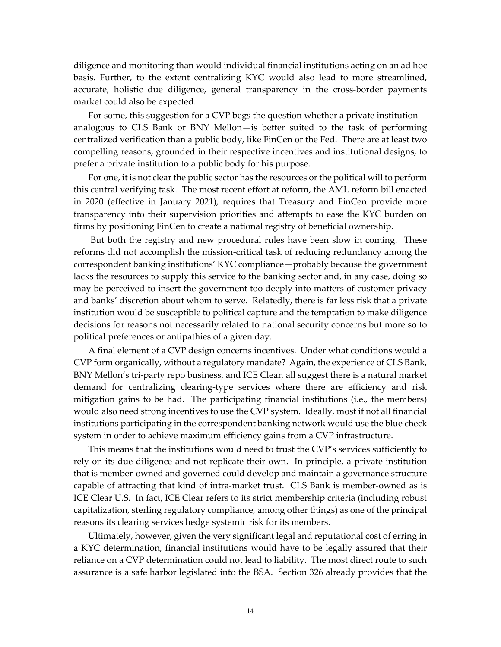diligence and monitoring than would individual financial institutions acting on an ad hoc basis. Further, to the extent centralizing KYC would also lead to more streamlined, accurate, holistic due diligence, general transparency in the cross-border payments market could also be expected.

For some, this suggestion for a CVP begs the question whether a private institution analogous to CLS Bank or BNY Mellon—is better suited to the task of performing centralized verification than a public body, like FinCen or the Fed. There are at least two compelling reasons, grounded in their respective incentives and institutional designs, to prefer a private institution to a public body for his purpose.

For one, it is not clear the public sector has the resources or the political will to perform this central verifying task. The most recent effort at reform, the AML reform bill enacted in 2020 (effective in January 2021), requires that Treasury and FinCen provide more transparency into their supervision priorities and attempts to ease the KYC burden on firms by positioning FinCen to create a national registry of beneficial ownership.

But both the registry and new procedural rules have been slow in coming. These reforms did not accomplish the mission-critical task of reducing redundancy among the correspondent banking institutions' KYC compliance—probably because the government lacks the resources to supply this service to the banking sector and, in any case, doing so may be perceived to insert the government too deeply into matters of customer privacy and banks' discretion about whom to serve. Relatedly, there is far less risk that a private institution would be susceptible to political capture and the temptation to make diligence decisions for reasons not necessarily related to national security concerns but more so to political preferences or antipathies of a given day.

A final element of a CVP design concerns incentives. Under what conditions would a CVP form organically, without a regulatory mandate? Again, the experience of CLS Bank, BNY Mellon's tri-party repo business, and ICE Clear, all suggest there is a natural market demand for centralizing clearing-type services where there are efficiency and risk mitigation gains to be had. The participating financial institutions (i.e., the members) would also need strong incentives to use the CVP system. Ideally, most if not all financial institutions participating in the correspondent banking network would use the blue check system in order to achieve maximum efficiency gains from a CVP infrastructure.

This means that the institutions would need to trust the CVP's services sufficiently to rely on its due diligence and not replicate their own. In principle, a private institution that is member-owned and governed could develop and maintain a governance structure capable of attracting that kind of intra-market trust. CLS Bank is member-owned as is ICE Clear U.S. In fact, ICE Clear refers to its strict membership criteria (including robust capitalization, sterling regulatory compliance, among other things) as one of the principal reasons its clearing services hedge systemic risk for its members.

Ultimately, however, given the very significant legal and reputational cost of erring in a KYC determination, financial institutions would have to be legally assured that their reliance on a CVP determination could not lead to liability. The most direct route to such assurance is a safe harbor legislated into the BSA. Section 326 already provides that the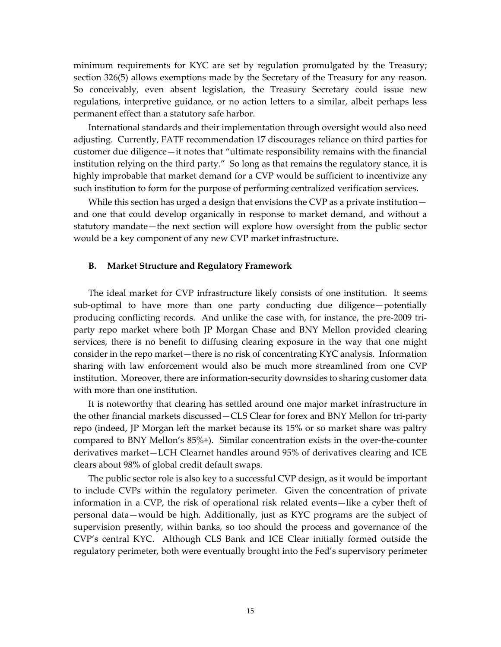minimum requirements for KYC are set by regulation promulgated by the Treasury; section 326(5) allows exemptions made by the Secretary of the Treasury for any reason. So conceivably, even absent legislation, the Treasury Secretary could issue new regulations, interpretive guidance, or no action letters to a similar, albeit perhaps less permanent effect than a statutory safe harbor.

International standards and their implementation through oversight would also need adjusting. Currently, FATF recommendation 17 discourages reliance on third parties for customer due diligence—it notes that "ultimate responsibility remains with the financial institution relying on the third party." So long as that remains the regulatory stance, it is highly improbable that market demand for a CVP would be sufficient to incentivize any such institution to form for the purpose of performing centralized verification services.

While this section has urged a design that envisions the CVP as a private institution and one that could develop organically in response to market demand, and without a statutory mandate—the next section will explore how oversight from the public sector would be a key component of any new CVP market infrastructure.

#### **B. Market Structure and Regulatory Framework**

The ideal market for CVP infrastructure likely consists of one institution. It seems sub-optimal to have more than one party conducting due diligence—potentially producing conflicting records. And unlike the case with, for instance, the pre-2009 triparty repo market where both JP Morgan Chase and BNY Mellon provided clearing services, there is no benefit to diffusing clearing exposure in the way that one might consider in the repo market—there is no risk of concentrating KYC analysis. Information sharing with law enforcement would also be much more streamlined from one CVP institution. Moreover, there are information-security downsides to sharing customer data with more than one institution.

It is noteworthy that clearing has settled around one major market infrastructure in the other financial markets discussed—CLS Clear for forex and BNY Mellon for tri-party repo (indeed, JP Morgan left the market because its 15% or so market share was paltry compared to BNY Mellon's 85%+). Similar concentration exists in the over-the-counter derivatives market—LCH Clearnet handles around 95% of derivatives clearing and ICE clears about 98% of global credit default swaps.

The public sector role is also key to a successful CVP design, as it would be important to include CVPs within the regulatory perimeter. Given the concentration of private information in a CVP, the risk of operational risk related events—like a cyber theft of personal data—would be high. Additionally, just as KYC programs are the subject of supervision presently, within banks, so too should the process and governance of the CVP's central KYC. Although CLS Bank and ICE Clear initially formed outside the regulatory perimeter, both were eventually brought into the Fed's supervisory perimeter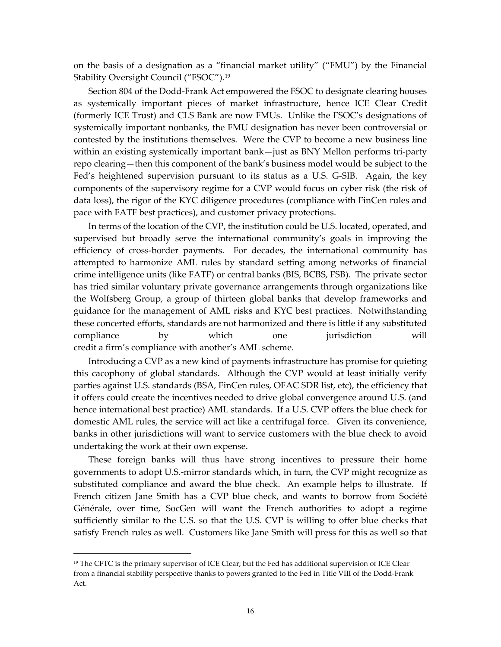on the basis of a designation as a "financial market utility" ("FMU") by the Financial Stability Oversight Council ("FSOC").<sup>[19](#page-16-0)</sup>

Section 804 of the Dodd-Frank Act empowered the FSOC to designate clearing houses as systemically important pieces of market infrastructure, hence ICE Clear Credit (formerly ICE Trust) and CLS Bank are now FMUs. Unlike the FSOC's designations of systemically important nonbanks, the FMU designation has never been controversial or contested by the institutions themselves. Were the CVP to become a new business line within an existing systemically important bank—just as BNY Mellon performs tri-party repo clearing—then this component of the bank's business model would be subject to the Fed's heightened supervision pursuant to its status as a U.S. G-SIB. Again, the key components of the supervisory regime for a CVP would focus on cyber risk (the risk of data loss), the rigor of the KYC diligence procedures (compliance with FinCen rules and pace with FATF best practices), and customer privacy protections.

In terms of the location of the CVP, the institution could be U.S. located, operated, and supervised but broadly serve the international community's goals in improving the efficiency of cross-border payments. For decades, the international community has attempted to harmonize AML rules by standard setting among networks of financial crime intelligence units (like FATF) or central banks (BIS, BCBS, FSB). The private sector has tried similar voluntary private governance arrangements through organizations like the Wolfsberg Group, a group of thirteen global banks that develop frameworks and guidance for the management of AML risks and KYC best practices. Notwithstanding these concerted efforts, standards are not harmonized and there is little if any substituted compliance by which one jurisdiction will credit a firm's compliance with another's AML scheme.

Introducing a CVP as a new kind of payments infrastructure has promise for quieting this cacophony of global standards. Although the CVP would at least initially verify parties against U.S. standards (BSA, FinCen rules, OFAC SDR list, etc), the efficiency that it offers could create the incentives needed to drive global convergence around U.S. (and hence international best practice) AML standards. If a U.S. CVP offers the blue check for domestic AML rules, the service will act like a centrifugal force. Given its convenience, banks in other jurisdictions will want to service customers with the blue check to avoid undertaking the work at their own expense.

These foreign banks will thus have strong incentives to pressure their home governments to adopt U.S.-mirror standards which, in turn, the CVP might recognize as substituted compliance and award the blue check. An example helps to illustrate. If French citizen Jane Smith has a CVP blue check, and wants to borrow from Société Générale, over time, SocGen will want the French authorities to adopt a regime sufficiently similar to the U.S. so that the U.S. CVP is willing to offer blue checks that satisfy French rules as well. Customers like Jane Smith will press for this as well so that

<span id="page-16-0"></span><sup>&</sup>lt;sup>19</sup> The CFTC is the primary supervisor of ICE Clear; but the Fed has additional supervision of ICE Clear from a financial stability perspective thanks to powers granted to the Fed in Title VIII of the Dodd-Frank Act.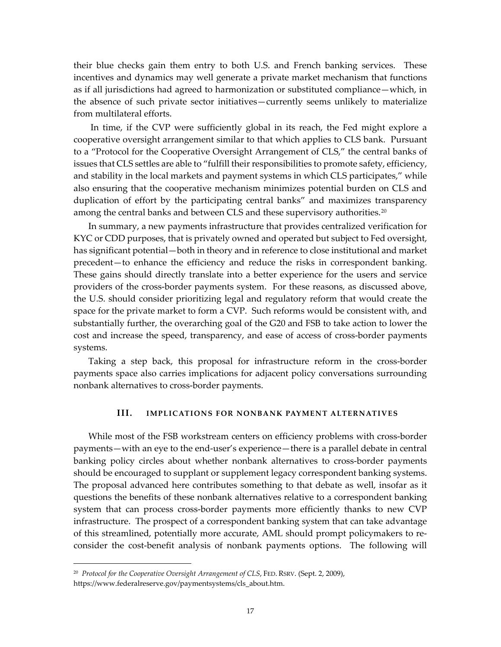their blue checks gain them entry to both U.S. and French banking services. These incentives and dynamics may well generate a private market mechanism that functions as if all jurisdictions had agreed to harmonization or substituted compliance—which, in the absence of such private sector initiatives—currently seems unlikely to materialize from multilateral efforts.

In time, if the CVP were sufficiently global in its reach, the Fed might explore a cooperative oversight arrangement similar to that which applies to CLS bank. Pursuant to a "Protocol for the Cooperative Oversight Arrangement of CLS," the central banks of issues that CLS settles are able to "fulfill their responsibilities to promote safety, efficiency, and stability in the local markets and payment systems in which CLS participates," while also ensuring that the cooperative mechanism minimizes potential burden on CLS and duplication of effort by the participating central banks" and maximizes transparency among the central banks and between CLS and these supervisory authorities.<sup>[20](#page-17-0)</sup>

In summary, a new payments infrastructure that provides centralized verification for KYC or CDD purposes, that is privately owned and operated but subject to Fed oversight, has significant potential—both in theory and in reference to close institutional and market precedent—to enhance the efficiency and reduce the risks in correspondent banking. These gains should directly translate into a better experience for the users and service providers of the cross-border payments system. For these reasons, as discussed above, the U.S. should consider prioritizing legal and regulatory reform that would create the space for the private market to form a CVP. Such reforms would be consistent with, and substantially further, the overarching goal of the G20 and FSB to take action to lower the cost and increase the speed, transparency, and ease of access of cross-border payments systems.

Taking a step back, this proposal for infrastructure reform in the cross-border payments space also carries implications for adjacent policy conversations surrounding nonbank alternatives to cross-border payments.

## **III. IMPLICATIONS FOR NONBANK PAYMENT ALTERNATIVES**

While most of the FSB workstream centers on efficiency problems with cross-border payments—with an eye to the end-user's experience—there is a parallel debate in central banking policy circles about whether nonbank alternatives to cross-border payments should be encouraged to supplant or supplement legacy correspondent banking systems. The proposal advanced here contributes something to that debate as well, insofar as it questions the benefits of these nonbank alternatives relative to a correspondent banking system that can process cross-border payments more efficiently thanks to new CVP infrastructure. The prospect of a correspondent banking system that can take advantage of this streamlined, potentially more accurate, AML should prompt policymakers to reconsider the cost-benefit analysis of nonbank payments options. The following will

<span id="page-17-0"></span><sup>20</sup> *Protocol for the Cooperative Oversight Arrangement of CLS*, FED. RSRV. (Sept. 2, 2009), https://www.federalreserve.gov/paymentsystems/cls\_about.htm.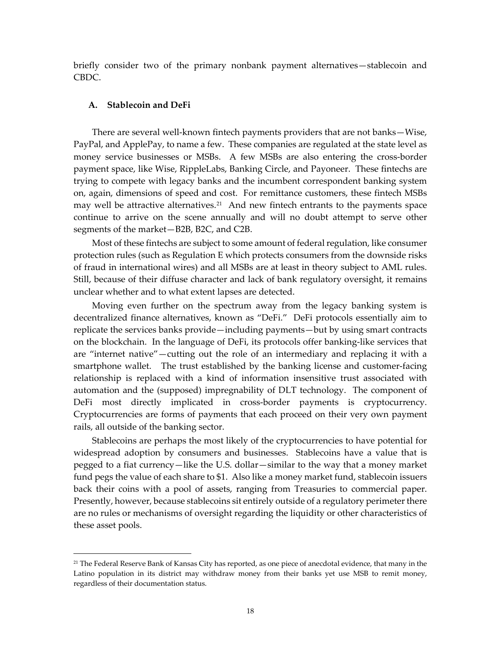briefly consider two of the primary nonbank payment alternatives—stablecoin and CBDC.

## **A. Stablecoin and DeFi**

There are several well-known fintech payments providers that are not banks—Wise, PayPal, and ApplePay, to name a few. These companies are regulated at the state level as money service businesses or MSBs. A few MSBs are also entering the cross-border payment space, like Wise, RippleLabs, Banking Circle, and Payoneer. These fintechs are trying to compete with legacy banks and the incumbent correspondent banking system on, again, dimensions of speed and cost. For remittance customers, these fintech MSBs may well be attractive alternatives.<sup>[21](#page-18-0)</sup> And new fintech entrants to the payments space continue to arrive on the scene annually and will no doubt attempt to serve other segments of the market—B2B, B2C, and C2B.

Most of these fintechs are subject to some amount of federal regulation, like consumer protection rules (such as Regulation E which protects consumers from the downside risks of fraud in international wires) and all MSBs are at least in theory subject to AML rules. Still, because of their diffuse character and lack of bank regulatory oversight, it remains unclear whether and to what extent lapses are detected.

Moving even further on the spectrum away from the legacy banking system is decentralized finance alternatives, known as "DeFi." DeFi protocols essentially aim to replicate the services banks provide—including payments—but by using smart contracts on the blockchain. In the language of DeFi, its protocols offer banking-like services that are "internet native"—cutting out the role of an intermediary and replacing it with a smartphone wallet. The trust established by the banking license and customer-facing relationship is replaced with a kind of information insensitive trust associated with automation and the (supposed) impregnability of DLT technology. The component of DeFi most directly implicated in cross-border payments is cryptocurrency. Cryptocurrencies are forms of payments that each proceed on their very own payment rails, all outside of the banking sector.

Stablecoins are perhaps the most likely of the cryptocurrencies to have potential for widespread adoption by consumers and businesses. Stablecoins have a value that is pegged to a fiat currency—like the U.S. dollar—similar to the way that a money market fund pegs the value of each share to \$1. Also like a money market fund, stablecoin issuers back their coins with a pool of assets, ranging from Treasuries to commercial paper. Presently, however, because stablecoins sit entirely outside of a regulatory perimeter there are no rules or mechanisms of oversight regarding the liquidity or other characteristics of these asset pools.

<span id="page-18-0"></span><sup>&</sup>lt;sup>21</sup> The Federal Reserve Bank of Kansas City has reported, as one piece of anecdotal evidence, that many in the Latino population in its district may withdraw money from their banks yet use MSB to remit money, regardless of their documentation status.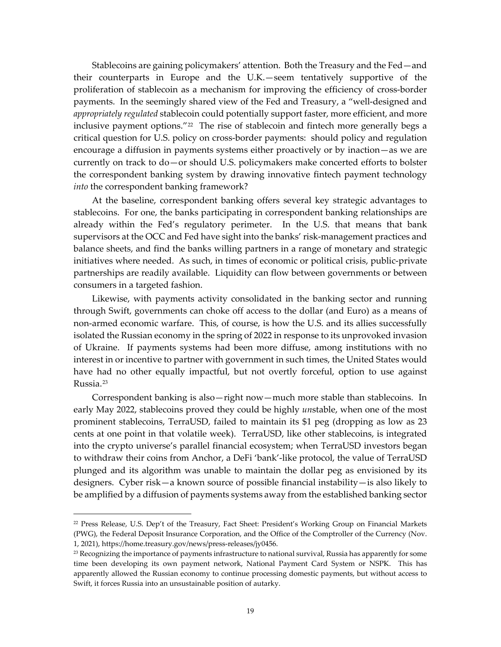Stablecoins are gaining policymakers' attention. Both the Treasury and the Fed—and their counterparts in Europe and the U.K.—seem tentatively supportive of the proliferation of stablecoin as a mechanism for improving the efficiency of cross-border payments. In the seemingly shared view of the Fed and Treasury, a "well-designed and *appropriately regulated* stablecoin could potentially support faster, more efficient, and more inclusive payment options."<sup>[22](#page-19-0)</sup> The rise of stablecoin and fintech more generally begs a critical question for U.S. policy on cross-border payments: should policy and regulation encourage a diffusion in payments systems either proactively or by inaction—as we are currently on track to do—or should U.S. policymakers make concerted efforts to bolster the correspondent banking system by drawing innovative fintech payment technology *into* the correspondent banking framework?

At the baseline, correspondent banking offers several key strategic advantages to stablecoins. For one, the banks participating in correspondent banking relationships are already within the Fed's regulatory perimeter. In the U.S. that means that bank supervisors at the OCC and Fed have sight into the banks' risk-management practices and balance sheets, and find the banks willing partners in a range of monetary and strategic initiatives where needed. As such, in times of economic or political crisis, public-private partnerships are readily available. Liquidity can flow between governments or between consumers in a targeted fashion.

Likewise, with payments activity consolidated in the banking sector and running through Swift, governments can choke off access to the dollar (and Euro) as a means of non-armed economic warfare. This, of course, is how the U.S. and its allies successfully isolated the Russian economy in the spring of 2022 in response to its unprovoked invasion of Ukraine. If payments systems had been more diffuse, among institutions with no interest in or incentive to partner with government in such times, the United States would have had no other equally impactful, but not overtly forceful, option to use against Russia.[23](#page-19-1) 

Correspondent banking is also—right now—much more stable than stablecoins. In early May 2022, stablecoins proved they could be highly *un*stable, when one of the most prominent stablecoins, TerraUSD, failed to maintain its \$1 peg (dropping as low as 23 cents at one point in that volatile week). TerraUSD, like other stablecoins, is integrated into the crypto universe's parallel financial ecosystem; when TerraUSD investors began to withdraw their coins from Anchor, a DeFi 'bank'-like protocol, the value of TerraUSD plunged and its algorithm was unable to maintain the dollar peg as envisioned by its designers. Cyber risk—a known source of possible financial instability—is also likely to be amplified by a diffusion of payments systems away from the established banking sector

<span id="page-19-0"></span><sup>22</sup> Press Release, U.S. Dep't of the Treasury, Fact Sheet: President's Working Group on Financial Markets (PWG), the Federal Deposit Insurance Corporation, and the Office of the Comptroller of the Currency (Nov. 1, 2021), https://home.treasury.gov/news/press-releases/jy0456.

<span id="page-19-1"></span><sup>&</sup>lt;sup>23</sup> Recognizing the importance of payments infrastructure to national survival, Russia has apparently for some time been developing its own payment network, National Payment Card System or NSPK. This has apparently allowed the Russian economy to continue processing domestic payments, but without access to Swift, it forces Russia into an unsustainable position of autarky.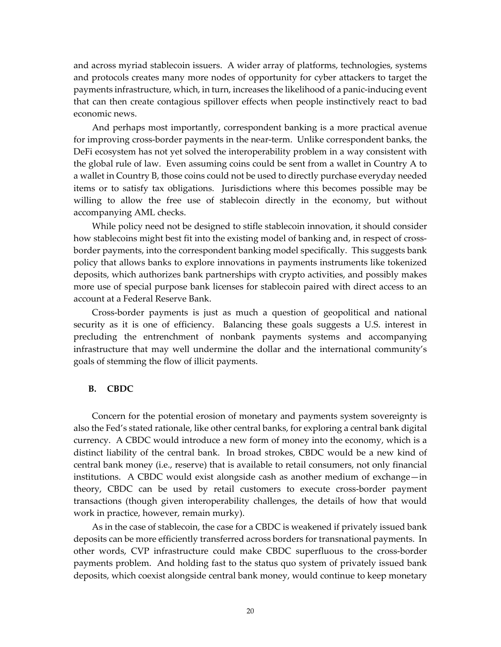and across myriad stablecoin issuers. A wider array of platforms, technologies, systems and protocols creates many more nodes of opportunity for cyber attackers to target the payments infrastructure, which, in turn, increases the likelihood of a panic-inducing event that can then create contagious spillover effects when people instinctively react to bad economic news.

And perhaps most importantly, correspondent banking is a more practical avenue for improving cross-border payments in the near-term. Unlike correspondent banks, the DeFi ecosystem has not yet solved the interoperability problem in a way consistent with the global rule of law. Even assuming coins could be sent from a wallet in Country A to a wallet in Country B, those coins could not be used to directly purchase everyday needed items or to satisfy tax obligations. Jurisdictions where this becomes possible may be willing to allow the free use of stablecoin directly in the economy, but without accompanying AML checks.

While policy need not be designed to stifle stablecoin innovation, it should consider how stablecoins might best fit into the existing model of banking and, in respect of crossborder payments, into the correspondent banking model specifically. This suggests bank policy that allows banks to explore innovations in payments instruments like tokenized deposits, which authorizes bank partnerships with crypto activities, and possibly makes more use of special purpose bank licenses for stablecoin paired with direct access to an account at a Federal Reserve Bank.

Cross-border payments is just as much a question of geopolitical and national security as it is one of efficiency. Balancing these goals suggests a U.S. interest in precluding the entrenchment of nonbank payments systems and accompanying infrastructure that may well undermine the dollar and the international community's goals of stemming the flow of illicit payments.

## **B. CBDC**

Concern for the potential erosion of monetary and payments system sovereignty is also the Fed's stated rationale, like other central banks, for exploring a central bank digital currency. A CBDC would introduce a new form of money into the economy, which is a distinct liability of the central bank. In broad strokes, CBDC would be a new kind of central bank money (i.e., reserve) that is available to retail consumers, not only financial institutions. A CBDC would exist alongside cash as another medium of exchange—in theory, CBDC can be used by retail customers to execute cross-border payment transactions (though given interoperability challenges, the details of how that would work in practice, however, remain murky).

As in the case of stablecoin, the case for a CBDC is weakened if privately issued bank deposits can be more efficiently transferred across borders for transnational payments. In other words, CVP infrastructure could make CBDC superfluous to the cross-border payments problem. And holding fast to the status quo system of privately issued bank deposits, which coexist alongside central bank money, would continue to keep monetary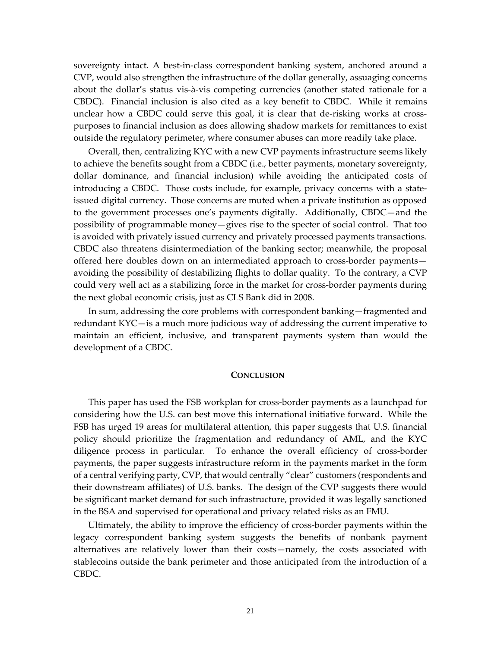sovereignty intact. A best-in-class correspondent banking system, anchored around a CVP, would also strengthen the infrastructure of the dollar generally, assuaging concerns about the dollar's status vis-à-vis competing currencies (another stated rationale for a CBDC). Financial inclusion is also cited as a key benefit to CBDC. While it remains unclear how a CBDC could serve this goal, it is clear that de-risking works at crosspurposes to financial inclusion as does allowing shadow markets for remittances to exist outside the regulatory perimeter, where consumer abuses can more readily take place.

Overall, then, centralizing KYC with a new CVP payments infrastructure seems likely to achieve the benefits sought from a CBDC (i.e., better payments, monetary sovereignty, dollar dominance, and financial inclusion) while avoiding the anticipated costs of introducing a CBDC. Those costs include, for example, privacy concerns with a stateissued digital currency. Those concerns are muted when a private institution as opposed to the government processes one's payments digitally. Additionally, CBDC—and the possibility of programmable money—gives rise to the specter of social control. That too is avoided with privately issued currency and privately processed payments transactions. CBDC also threatens disintermediation of the banking sector; meanwhile, the proposal offered here doubles down on an intermediated approach to cross-border payments avoiding the possibility of destabilizing flights to dollar quality. To the contrary, a CVP could very well act as a stabilizing force in the market for cross-border payments during the next global economic crisis, just as CLS Bank did in 2008.

In sum, addressing the core problems with correspondent banking—fragmented and redundant KYC—is a much more judicious way of addressing the current imperative to maintain an efficient, inclusive, and transparent payments system than would the development of a CBDC.

#### **CONCLUSION**

This paper has used the FSB workplan for cross-border payments as a launchpad for considering how the U.S. can best move this international initiative forward. While the FSB has urged 19 areas for multilateral attention, this paper suggests that U.S. financial policy should prioritize the fragmentation and redundancy of AML, and the KYC diligence process in particular. To enhance the overall efficiency of cross-border payments, the paper suggests infrastructure reform in the payments market in the form of a central verifying party, CVP, that would centrally "clear" customers (respondents and their downstream affiliates) of U.S. banks. The design of the CVP suggests there would be significant market demand for such infrastructure, provided it was legally sanctioned in the BSA and supervised for operational and privacy related risks as an FMU.

Ultimately, the ability to improve the efficiency of cross-border payments within the legacy correspondent banking system suggests the benefits of nonbank payment alternatives are relatively lower than their costs—namely, the costs associated with stablecoins outside the bank perimeter and those anticipated from the introduction of a CBDC.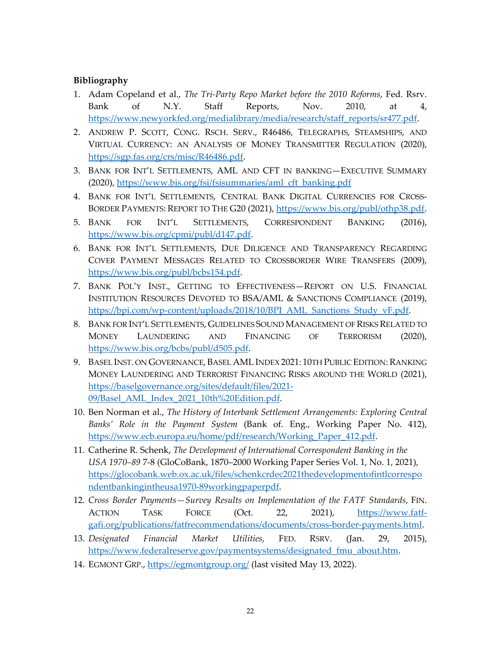## **Bibliography**

- 1. Adam Copeland et al., *The Tri-Party Repo Market before the 2010 Reforms*, Fed. Rsrv. Bank of N.Y. Staff Reports, Nov. 2010, at 4, [https://www.newyorkfed.org/medialibrary/media/research/staff\\_reports/sr477.pdf.](https://www.newyorkfed.org/medialibrary/media/research/staff_reports/sr477.pdf)
- 2. ANDREW P. SCOTT, CONG. RSCH. SERV., R46486, TELEGRAPHS, STEAMSHIPS, AND VIRTUAL CURRENCY: AN ANALYSIS OF MONEY TRANSMITTER REGULATION (2020), [https://sgp.fas.org/crs/misc/R46486.pdf.](https://sgp.fas.org/crs/misc/R46486.pdf)
- 3. BANK FOR INT'L SETTLEMENTS, AML AND CFT IN BANKING—EXECUTIVE SUMMARY (2020), [https://www.bis.org/fsi/fsisummaries/aml\\_cft\\_banking.pdf](https://www.bis.org/fsi/fsisummaries/aml_cft_banking.pdf)
- 4. BANK FOR INT'L SETTLEMENTS, CENTRAL BANK DIGITAL CURRENCIES FOR CROSSBORDER PAYMENTS: REPORT TO THE G20 (2021), [https://www.bis.org/publ/othp38.pdf.](https://www.bis.org/publ/othp38.pdf)
- 5. BANK FOR INT'L SETTLEMENTS, CORRESPONDENT BANKING (2016), [https://www.bis.org/cpmi/publ/d147.pdf.](https://www.bis.org/cpmi/publ/d147.pdf)
- 6. BANK FOR INT'L SETTLEMENTS, DUE DILIGENCE AND TRANSPARENCY REGARDING COVER PAYMENT MESSAGES RELATED TO CROSSBORDER WIRE TRANSFERS (2009), [https://www.bis.org/publ/bcbs154.pdf.](https://www.bis.org/publ/bcbs154.pdf)
- 7. BANK POL'Y INST., GETTING TO EFFECTIVENESS—REPORT ON U.S. FINANCIAL INSTITUTION RESOURCES DEVOTED TO BSA/AML & SANCTIONS COMPLIANCE (2019), [https://bpi.com/wp-content/uploads/2018/10/BPI\\_AML\\_Sanctions\\_Study\\_vF.pdf.](https://bpi.com/wp-content/uploads/2018/10/BPI_AML_Sanctions_Study_vF.pdf)
- 8. BANK FOR INT'L SETTLEMENTS, GUIDELINES SOUND MANAGEMENT OF RISKS RELATED TO MONEY LAUNDERING AND FINANCING OF TERRORISM (2020), [https://www.bis.org/bcbs/publ/d505.pdf.](https://www.bis.org/bcbs/publ/d505.pdf)
- 9. BASEL INST. ON GOVERNANCE, BASEL AML INDEX 2021: 10TH PUBLIC EDITION: RANKING MONEY LAUNDERING AND TERRORIST FINANCING RISKS AROUND THE WORLD (2021), [https://baselgovernance.org/sites/default/files/2021-](https://baselgovernance.org/sites/default/files/2021-09/Basel_AML_Index_2021_10th%20Edition.pdf) [09/Basel\\_AML\\_Index\\_2021\\_10th%20Edition.pdf.](https://baselgovernance.org/sites/default/files/2021-09/Basel_AML_Index_2021_10th%20Edition.pdf)
- 10. Ben Norman et al., *The History of Interbank Settlement Arrangements: Exploring Central Banks' Role in the Payment System* (Bank of. Eng., Working Paper No. 412), [https://www.ecb.europa.eu/home/pdf/research/Working\\_Paper\\_412.pdf.](https://www.ecb.europa.eu/home/pdf/research/Working_Paper_412.pdf)
- 11. Catherine R. Schenk, *The Development of International Correspondent Banking in the USA 1970–89* 7-8 (GloCoBank, 1870–2000 Working Paper Series Vol. 1, No. 1, 2021), [https://glocobank.web.ox.ac.uk/files/schenkcrdec2021thedevelopmentofintlcorrespo](https://glocobank.web.ox.ac.uk/files/schenkcrdec2021thedevelopmentofintlcorrespondentbankingintheusa1970-89workingpaperpdf) [ndentbankingintheusa1970-89workingpaperpdf.](https://glocobank.web.ox.ac.uk/files/schenkcrdec2021thedevelopmentofintlcorrespondentbankingintheusa1970-89workingpaperpdf)
- 12. *Cross Border Payments—Survey Results on Implementation of the FATF Standards*, FIN. ACTION TASK FORCE (Oct. 22, 2021), [https://www.fatf](https://www.fatf-gafi.org/publications/fatfrecommendations/documents/cross-border-payments.html)[gafi.org/publications/fatfrecommendations/documents/cross-border-payments.html.](https://www.fatf-gafi.org/publications/fatfrecommendations/documents/cross-border-payments.html)
- 13. *Designated Financial Market Utilities*, FED. RSRV. (Jan. 29, 2015), [https://www.federalreserve.gov/paymentsystems/designated\\_fmu\\_about.htm.](https://www.federalreserve.gov/paymentsystems/designated_fmu_about.htm)
- 14. EGMONT GRP.,<https://egmontgroup.org/> (last visited May 13, 2022).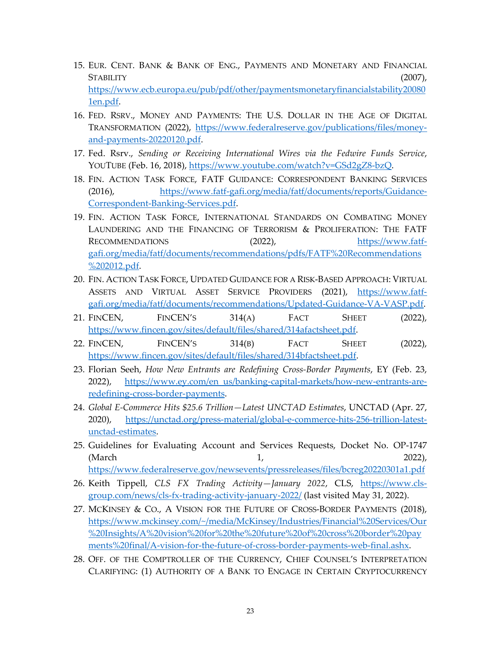- 15. EUR. CENT. BANK & BANK OF ENG., PAYMENTS AND MONETARY AND FINANCIAL STABILITY (2007), [https://www.ecb.europa.eu/pub/pdf/other/paymentsmonetaryfinancialstability20080](https://www.ecb.europa.eu/pub/pdf/other/paymentsmonetaryfinancialstability200801en.pdf) [1en.pdf.](https://www.ecb.europa.eu/pub/pdf/other/paymentsmonetaryfinancialstability200801en.pdf)
- 16. FED. RSRV., MONEY AND PAYMENTS: THE U.S. DOLLAR IN THE AGE OF DIGITAL TRANSFORMATION (2022), [https://www.federalreserve.gov/publications/files/money](https://www.federalreserve.gov/publications/files/money-and-payments-20220120.pdf)[and-payments-20220120.pdf.](https://www.federalreserve.gov/publications/files/money-and-payments-20220120.pdf)
- 17. Fed. Rsrv., *Sending or Receiving International Wires via the Fedwire Funds Service*, YOUTUBE (Feb. 16, 2018), [https://www.youtube.com/watch?v=GSd2gZ8-bzQ.](https://www.youtube.com/watch?v=GSd2gZ8-bzQ)
- 18. FIN. ACTION TASK FORCE, FATF GUIDANCE: CORRESPONDENT BANKING SERVICES (2016), [https://www.fatf-gafi.org/media/fatf/documents/reports/Guidance-](https://www.fatf-gafi.org/media/fatf/documents/reports/Guidance-Correspondent-Banking-Services.pdf)[Correspondent-Banking-Services.pdf.](https://www.fatf-gafi.org/media/fatf/documents/reports/Guidance-Correspondent-Banking-Services.pdf)
- 19. FIN. ACTION TASK FORCE, INTERNATIONAL STANDARDS ON COMBATING MONEY LAUNDERING AND THE FINANCING OF TERRORISM & PROLIFERATION: THE FATF RECOMMENDATIONS (2022), [https://www.fatf](https://www.fatf-gafi.org/media/fatf/documents/recommendations/pdfs/FATF%20Recommendations%202012.pdf)[gafi.org/media/fatf/documents/recommendations/pdfs/FATF%20Recommendations](https://www.fatf-gafi.org/media/fatf/documents/recommendations/pdfs/FATF%20Recommendations%202012.pdf) [%202012.pdf.](https://www.fatf-gafi.org/media/fatf/documents/recommendations/pdfs/FATF%20Recommendations%202012.pdf)
- 20. FIN. ACTION TASK FORCE, UPDATED GUIDANCE FOR A RISK-BASED APPROACH: VIRTUAL ASSETS AND VIRTUAL ASSET SERVICE PROVIDERS (2021), [https://www.fatf](https://www.fatf-gafi.org/media/fatf/documents/recommendations/Updated-Guidance-VA-VASP.pdf)[gafi.org/media/fatf/documents/recommendations/Updated-Guidance-VA-VASP.pdf.](https://www.fatf-gafi.org/media/fatf/documents/recommendations/Updated-Guidance-VA-VASP.pdf)
- 21. FINCEN, FINCEN'S 314(A) FACT SHEET (2022), [https://www.fincen.gov/sites/default/files/shared/314afactsheet.pdf.](https://www.fincen.gov/sites/default/files/shared/314afactsheet.pdf)
- 22. FINCEN, FINCEN'S 314(B) FACT SHEET (2022), [https://www.fincen.gov/sites/default/files/shared/314bfactsheet.pdf.](https://www.fincen.gov/sites/default/files/shared/314bfactsheet.pdf)
- 23. Florian Seeh, *How New Entrants are Redefining Cross-Border Payments*, EY (Feb. 23, 2022), [https://www.ey.com/en\\_us/banking-capital-markets/how-new-entrants-are](https://www.ey.com/en_us/banking-capital-markets/how-new-entrants-are-redefining-cross-border-payments)[redefining-cross-border-payments.](https://www.ey.com/en_us/banking-capital-markets/how-new-entrants-are-redefining-cross-border-payments)
- 24. *Global E-Commerce Hits \$25.6 Trillion—Latest UNCTAD Estimates*, UNCTAD (Apr. 27, 2020), [https://unctad.org/press-material/global-e-commerce-hits-256-trillion-latest](https://unctad.org/press-material/global-e-commerce-hits-256-trillion-latest-unctad-estimates)[unctad-estimates.](https://unctad.org/press-material/global-e-commerce-hits-256-trillion-latest-unctad-estimates)
- 25. Guidelines for Evaluating Account and Services Requests, Docket No. OP-1747 (March 2022), <https://www.federalreserve.gov/newsevents/pressreleases/files/bcreg20220301a1.pdf>
- 26. Keith Tippell, *CLS FX Trading Activity—January 2022*, CLS, [https://www.cls](https://www.cls-group.com/news/cls-fx-trading-activity-january-2022/)[group.com/news/cls-fx-trading-activity-january-2022/](https://www.cls-group.com/news/cls-fx-trading-activity-january-2022/) (last visited May 31, 2022).
- 27. MCKINSEY & CO., A VISION FOR THE FUTURE OF CROSS-BORDER PAYMENTS (2018), [https://www.mckinsey.com/~/media/McKinsey/Industries/Financial%20Services/Our](https://www.mckinsey.com/%7E/media/McKinsey/Industries/Financial%20Services/Our%20Insights/A%20vision%20for%20the%20future%20of%20cross%20border%20payments%20final/A-vision-for-the-future-of-cross-border-payments-web-final.ashx) [%20Insights/A%20vision%20for%20the%20future%20of%20cross%20border%20pay](https://www.mckinsey.com/%7E/media/McKinsey/Industries/Financial%20Services/Our%20Insights/A%20vision%20for%20the%20future%20of%20cross%20border%20payments%20final/A-vision-for-the-future-of-cross-border-payments-web-final.ashx) [ments%20final/A-vision-for-the-future-of-cross-border-payments-web-final.ashx.](https://www.mckinsey.com/%7E/media/McKinsey/Industries/Financial%20Services/Our%20Insights/A%20vision%20for%20the%20future%20of%20cross%20border%20payments%20final/A-vision-for-the-future-of-cross-border-payments-web-final.ashx)
- 28. OFF. OF THE COMPTROLLER OF THE CURRENCY, CHIEF COUNSEL'S INTERPRETATION CLARIFYING: (1) AUTHORITY OF A BANK TO ENGAGE IN CERTAIN CRYPTOCURRENCY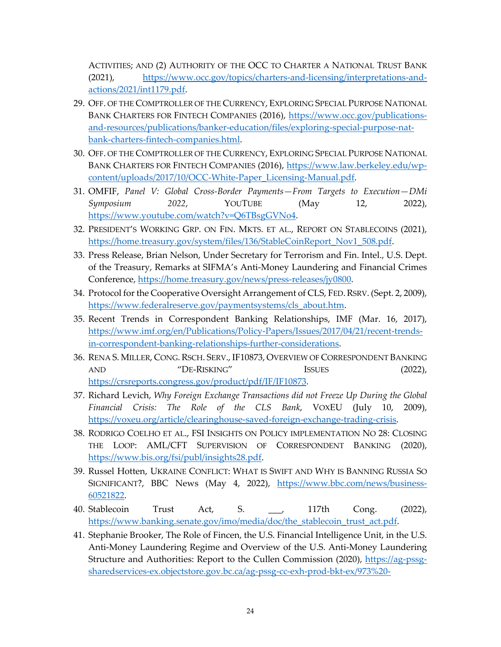ACTIVITIES; AND (2) AUTHORITY OF THE OCC TO CHARTER A NATIONAL TRUST BANK (2021), [https://www.occ.gov/topics/charters-and-licensing/interpretations-and](https://www.occ.gov/topics/charters-and-licensing/interpretations-and-actions/2021/int1179.pdf)[actions/2021/int1179.pdf.](https://www.occ.gov/topics/charters-and-licensing/interpretations-and-actions/2021/int1179.pdf)

- 29. OFF. OF THE COMPTROLLER OF THE CURRENCY, EXPLORING SPECIAL PURPOSE NATIONAL BANK CHARTERS FOR FINTECH COMPANIES (2016), [https://www.occ.gov/publications](https://www.occ.gov/publications-and-resources/publications/banker-education/files/exploring-special-purpose-nat-bank-charters-fintech-companies.html)[and-resources/publications/banker-education/files/exploring-special-purpose-nat](https://www.occ.gov/publications-and-resources/publications/banker-education/files/exploring-special-purpose-nat-bank-charters-fintech-companies.html)[bank-charters-fintech-companies.html.](https://www.occ.gov/publications-and-resources/publications/banker-education/files/exploring-special-purpose-nat-bank-charters-fintech-companies.html)
- 30. OFF. OF THE COMPTROLLER OF THE CURRENCY, EXPLORING SPECIAL PURPOSE NATIONAL BANK CHARTERS FOR FINTECH COMPANIES (2016), [https://www.law.berkeley.edu/wp](https://www.law.berkeley.edu/wp-content/uploads/2017/10/OCC-White-Paper_Licensing-Manual.pdf)[content/uploads/2017/10/OCC-White-Paper\\_Licensing-Manual.pdf.](https://www.law.berkeley.edu/wp-content/uploads/2017/10/OCC-White-Paper_Licensing-Manual.pdf)
- 31. OMFIF, *Panel V: Global Cross-Border Payments—From Targets to Execution—DMi Symposium 2022*, YOUTUBE (May 12, 2022), [https://www.youtube.com/watch?v=Q6TBsgGVNo4.](https://www.youtube.com/watch?v=Q6TBsgGVNo4)
- 32. PRESIDENT'S WORKING GRP. ON FIN. MKTS. ET AL., REPORT ON STABLECOINS (2021), [https://home.treasury.gov/system/files/136/StableCoinReport\\_Nov1\\_508.pdf.](https://home.treasury.gov/system/files/136/StableCoinReport_Nov1_508.pdf)
- 33. Press Release, Brian Nelson, Under Secretary for Terrorism and Fin. Intel., U.S. Dept. of the Treasury, Remarks at SIFMA's Anti-Money Laundering and Financial Crimes Conference, [https://home.treasury.gov/news/press-releases/jy0800.](https://home.treasury.gov/news/press-releases/jy0800)
- 34. Protocol for the Cooperative Oversight Arrangement of CLS, FED.RSRV. (Sept. 2, 2009), [https://www.federalreserve.gov/paymentsystems/cls\\_about.htm.](https://www.federalreserve.gov/paymentsystems/cls_about.htm)
- 35. Recent Trends in Correspondent Banking Relationships, IMF (Mar. 16, 2017), [https://www.imf.org/en/Publications/Policy-Papers/Issues/2017/04/21/recent-trends](https://www.imf.org/en/Publications/Policy-Papers/Issues/2017/04/21/recent-trends-in-correspondent-banking-relationships-further-considerations)[in-correspondent-banking-relationships-further-considerations.](https://www.imf.org/en/Publications/Policy-Papers/Issues/2017/04/21/recent-trends-in-correspondent-banking-relationships-further-considerations)
- 36. RENA S. MILLER, CONG. RSCH. SERV., IF10873, OVERVIEW OF CORRESPONDENT BANKING AND "DE-RISKING" ISSUES (2022), [https://crsreports.congress.gov/product/pdf/IF/IF10873.](https://crsreports.congress.gov/product/pdf/IF/IF10873)
- 37. Richard Levich, *Why Foreign Exchange Transactions did not Freeze Up During the Global Financial Crisis: The Role of the CLS Bank*, VOXEU (July 10, 2009), [https://voxeu.org/article/clearinghouse-saved-foreign-exchange-trading-crisis.](https://voxeu.org/article/clearinghouse-saved-foreign-exchange-trading-crisis)
- 38. RODRIGO COELHO ET AL., FSI INSIGHTS ON POLICY IMPLEMENTATION NO 28: CLOSING THE LOOP: AML/CFT SUPERVISION OF CORRESPONDENT BANKING (2020), [https://www.bis.org/fsi/publ/insights28.pdf.](https://www.bis.org/fsi/publ/insights28.pdf)
- 39. Russel Hotten, UKRAINE CONFLICT: WHAT IS SWIFT AND WHY IS BANNING RUSSIA SO SIGNIFICANT?, BBC News (May 4, 2022), [https://www.bbc.com/news/business-](https://www.bbc.com/news/business-60521822)[60521822.](https://www.bbc.com/news/business-60521822)
- 40. Stablecoin Trust Act, S. \_\_\_, 117th Cong. (2022), [https://www.banking.senate.gov/imo/media/doc/the\\_stablecoin\\_trust\\_act.pdf.](https://www.banking.senate.gov/imo/media/doc/the_stablecoin_trust_act.pdf)
- 41. Stephanie Brooker, The Role of Fincen, the U.S. Financial Intelligence Unit, in the U.S. Anti-Money Laundering Regime and Overview of the U.S. Anti-Money Laundering Structure and Authorities: Report to the Cullen Commission (2020), [https://ag-pssg](https://ag-pssg-sharedservices-ex.objectstore.gov.bc.ca/ag-pssg-cc-exh-prod-bkt-ex/973%20-%20The%20Role%20of%20FinCEN%20the%20US%20Financial%20Intelligence%20Unit%20in%20the%20US%20AML%20Regime%20and%20Overview%20of%20the%20US%20AML%20Structure%20and%20Authorities%20by%20Stephanie%20Brooker.pdf)[sharedservices-ex.objectstore.gov.bc.ca/ag-pssg-cc-exh-prod-bkt-ex/973%20-](https://ag-pssg-sharedservices-ex.objectstore.gov.bc.ca/ag-pssg-cc-exh-prod-bkt-ex/973%20-%20The%20Role%20of%20FinCEN%20the%20US%20Financial%20Intelligence%20Unit%20in%20the%20US%20AML%20Regime%20and%20Overview%20of%20the%20US%20AML%20Structure%20and%20Authorities%20by%20Stephanie%20Brooker.pdf)